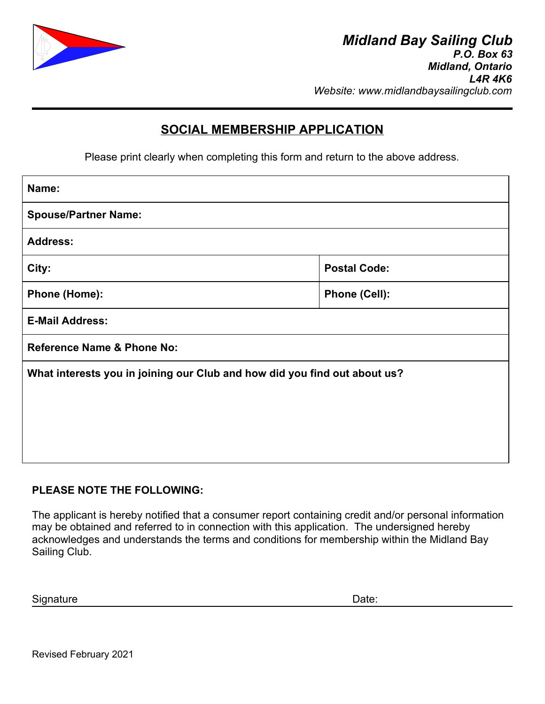

# **SOCIAL MEMBERSHIP APPLICATION**

Please print clearly when completing this form and return to the above address.

| Name:                                                                     |                     |
|---------------------------------------------------------------------------|---------------------|
| <b>Spouse/Partner Name:</b>                                               |                     |
| <b>Address:</b>                                                           |                     |
| City:                                                                     | <b>Postal Code:</b> |
| Phone (Home):                                                             | Phone (Cell):       |
| <b>E-Mail Address:</b>                                                    |                     |
| <b>Reference Name &amp; Phone No:</b>                                     |                     |
| What interests you in joining our Club and how did you find out about us? |                     |
|                                                                           |                     |
|                                                                           |                     |
|                                                                           |                     |

## **PLEASE NOTE THE FOLLOWING:**

The applicant is hereby notified that a consumer report containing credit and/or personal information may be obtained and referred to in connection with this application. The undersigned hereby acknowledges and understands the terms and conditions for membership within the Midland Bay Sailing Club.

Signature Date: